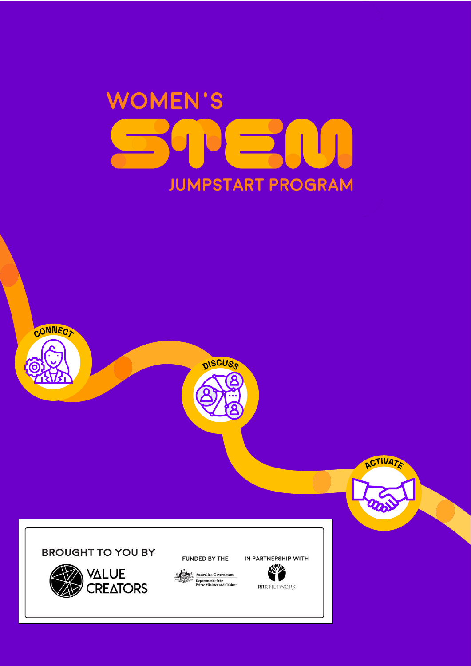



**BROUGHT TO YOU BY** 

CONNECT



FUNDED BY THE



IN PARTNERSHIP WITH **Kille** 

**ACTIVATE** 

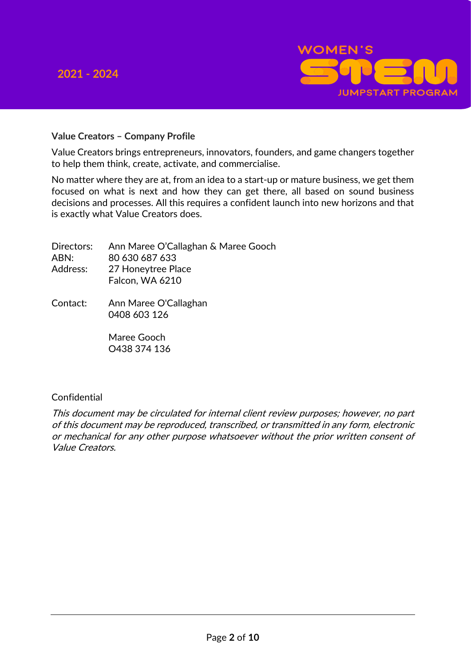### **2021 - 2024**



#### **Value Creators – Company Profile**

Value Creators brings entrepreneurs, innovators, founders, and game changers together to help them think, create, activate, and commercialise.

No matter where they are at, from an idea to a start-up or mature business, we get them focused on what is next and how they can get there, all based on sound business decisions and processes. All this requires a confident launch into new horizons and that is exactly what Value Creators does.

|          | Directors: Ann Maree O'Callaghan & Maree Gooch |
|----------|------------------------------------------------|
| ABN:     | 80 630 687 633                                 |
| Address: | 27 Honeytree Place                             |
|          | Falcon, WA 6210                                |
|          |                                                |

Contact: Ann Maree O'Callaghan 0408 603 126

> Maree Gooch O438 374 136

#### Confidential

This document may be circulated for internal client review purposes; however, no part of this document may be reproduced, transcribed, or transmitted in any form, electronic or mechanical for any other purpose whatsoever without the prior written consent of Value Creators.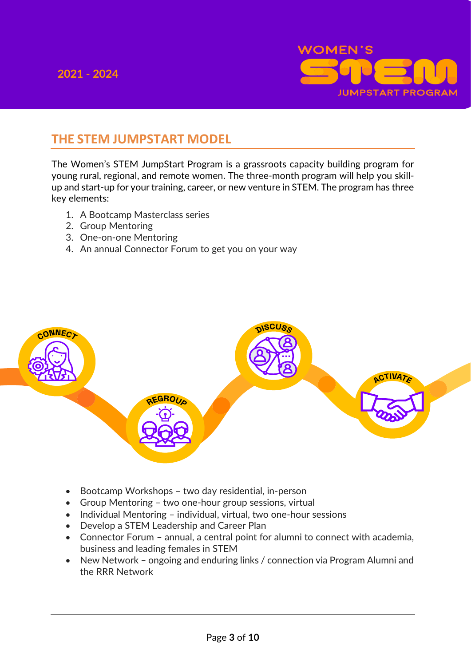

## **THE STEM JUMPSTART MODEL**

The Women's STEM JumpStart Program is a grassroots capacity building program for young rural, regional, and remote women. The three-month program will help you skillup and start-up for your training, career, or new venture in STEM. The program has three key elements:

- 1. A Bootcamp Masterclass series
- 2. Group Mentoring
- 3. One-on-one Mentoring
- 4. An annual Connector Forum to get you on your way



- Bootcamp Workshops two day residential, in-person
- Group Mentoring two one-hour group sessions, virtual
- Individual Mentoring individual, virtual, two one-hour sessions
- Develop a STEM Leadership and Career Plan
- Connector Forum annual, a central point for alumni to connect with academia, business and leading females in STEM
- New Network ongoing and enduring links / connection via Program Alumni and the RRR Network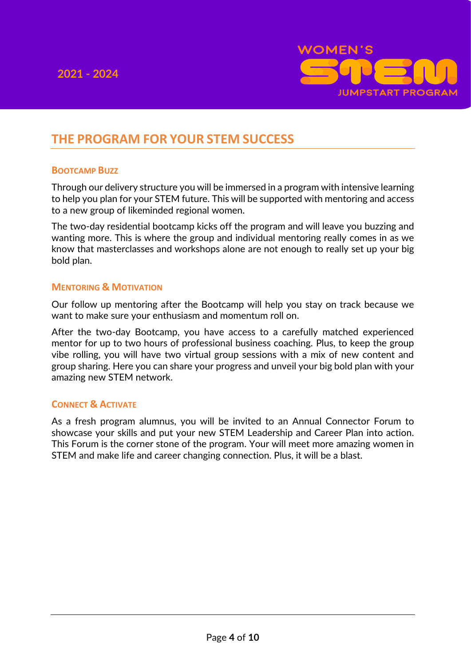

# **THE PROGRAM FOR YOUR STEM SUCCESS**

#### **BOOTCAMP BUZZ**

Through our delivery structure you will be immersed in a program with intensive learning to help you plan for your STEM future. This will be supported with mentoring and access to a new group of likeminded regional women.

The two-day residential bootcamp kicks off the program and will leave you buzzing and wanting more. This is where the group and individual mentoring really comes in as we know that masterclasses and workshops alone are not enough to really set up your big bold plan.

#### **MENTORING & MOTIVATION**

Our follow up mentoring after the Bootcamp will help you stay on track because we want to make sure your enthusiasm and momentum roll on.

After the two-day Bootcamp, you have access to a carefully matched experienced mentor for up to two hours of professional business coaching. Plus, to keep the group vibe rolling, you will have two virtual group sessions with a mix of new content and group sharing. Here you can share your progress and unveil your big bold plan with your amazing new STEM network.

#### **CONNECT & ACTIVATE**

As a fresh program alumnus, you will be invited to an Annual Connector Forum to showcase your skills and put your new STEM Leadership and Career Plan into action. This Forum is the corner stone of the program. Your will meet more amazing women in STEM and make life and career changing connection. Plus, it will be a blast.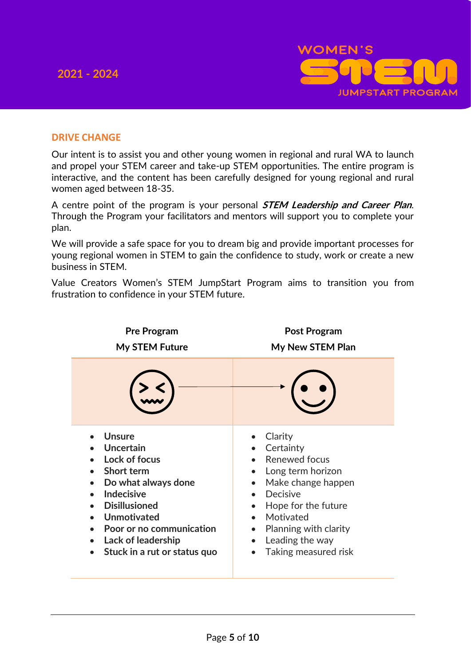

### **DRIVE CHANGE**

Our intent is to assist you and other young women in regional and rural WA to launch and propel your STEM career and take-up STEM opportunities. The entire program is interactive, and the content has been carefully designed for young regional and rural women aged between 18-35.

A centre point of the program is your personal **STEM Leadership and Career Plan**. Through the Program your facilitators and mentors will support you to complete your plan.

We will provide a safe space for you to dream big and provide important processes for young regional women in STEM to gain the confidence to study, work or create a new business in STEM.

Value Creators Women's STEM JumpStart Program aims to transition you from frustration to confidence in your STEM future.

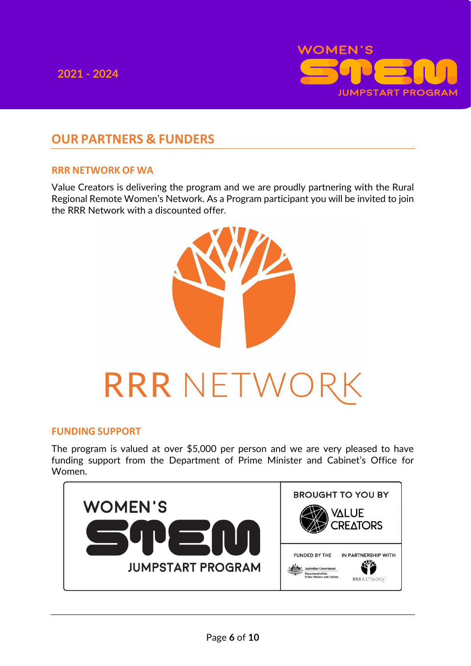

# **OUR PARTNERS & FUNDERS**

### **RRR NETWORK OF WA**

Value Creators is delivering the program and we are proudly partnering with the Rural Regional Remote Women's Network. As a Program participant you will be invited to join the RRR Network with a discounted offer.



#### **FUNDING SUPPORT**

The program is valued at over \$5,000 per person and we are very pleased to have funding support from the Department of Prime Minister and Cabinet's Office for Women.

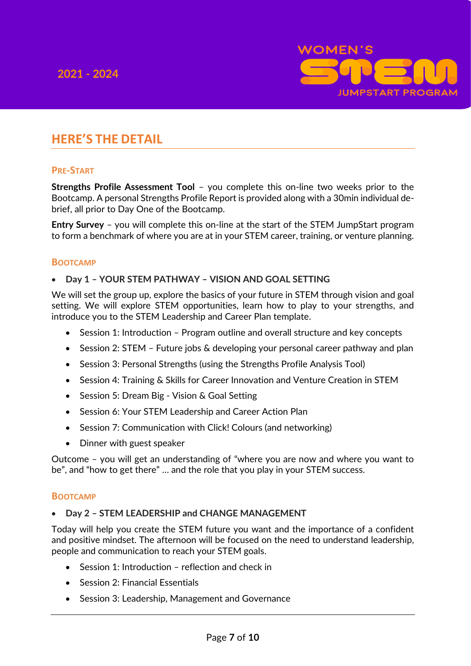

# **HERE'S THE DETAIL**

#### **PRE-START**

**Strengths Profile Assessment Tool** – you complete this on-line two weeks prior to the Bootcamp. A personal Strengths Profile Report is provided along with a 30min individual debrief, all prior to Day One of the Bootcamp.

**Entry Survey** – you will complete this on-line at the start of the STEM JumpStart program to form a benchmark of where you are at in your STEM career, training, or venture planning.

#### **BOOTCAMP**

#### • **Day 1 – YOUR STEM PATHWAY – VISION AND GOAL SETTING**

We will set the group up, explore the basics of your future in STEM through vision and goal setting. We will explore STEM opportunities, learn how to play to your strengths, and introduce you to the STEM Leadership and Career Plan template.

- Session 1: Introduction Program outline and overall structure and key concepts
- Session 2: STEM Future jobs & developing your personal career pathway and plan
- Session 3: Personal Strengths (using the Strengths Profile Analysis Tool)
- Session 4: Training & Skills for Career Innovation and Venture Creation in STEM
- Session 5: Dream Big Vision & Goal Setting
- Session 6: Your STEM Leadership and Career Action Plan
- Session 7: Communication with Click! Colours (and networking)
- Dinner with guest speaker

Outcome – you will get an understanding of "where you are now and where you want to be", and "how to get there" … and the role that you play in your STEM success.

#### **BOOTCAMP**

#### • **Day 2 – STEM LEADERSHIP and CHANGE MANAGEMENT**

Today will help you create the STEM future you want and the importance of a confident and positive mindset. The afternoon will be focused on the need to understand leadership, people and communication to reach your STEM goals.

- Session  $1$  Introduction reflection and check in
- Session 2: Financial Essentials
- Session 3: Leadership, Management and Governance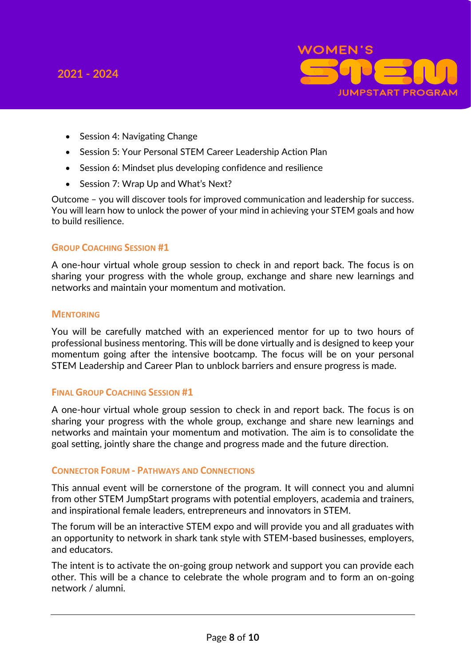

- Session 4: Navigating Change
- Session 5: Your Personal STEM Career Leadership Action Plan
- Session 6: Mindset plus developing confidence and resilience
- Session 7: Wrap Up and What's Next?

Outcome – you will discover tools for improved communication and leadership for success. You will learn how to unlock the power of your mind in achieving your STEM goals and how to build resilience.

#### **GROUP COACHING SESSION #1**

A one-hour virtual whole group session to check in and report back. The focus is on sharing your progress with the whole group, exchange and share new learnings and networks and maintain your momentum and motivation.

#### **MENTORING**

You will be carefully matched with an experienced mentor for up to two hours of professional business mentoring. This will be done virtually and is designed to keep your momentum going after the intensive bootcamp. The focus will be on your personal STEM Leadership and Career Plan to unblock barriers and ensure progress is made.

#### **FINAL GROUP COACHING SESSION #1**

A one-hour virtual whole group session to check in and report back. The focus is on sharing your progress with the whole group, exchange and share new learnings and networks and maintain your momentum and motivation. The aim is to consolidate the goal setting, jointly share the change and progress made and the future direction.

#### **CONNECTOR FORUM - PATHWAYS AND CONNECTIONS**

This annual event will be cornerstone of the program. It will connect you and alumni from other STEM JumpStart programs with potential employers, academia and trainers, and inspirational female leaders, entrepreneurs and innovators in STEM.

The forum will be an interactive STEM expo and will provide you and all graduates with an opportunity to network in shark tank style with STEM-based businesses, employers, and educators.

The intent is to activate the on-going group network and support you can provide each other. This will be a chance to celebrate the whole program and to form an on-going network / alumni.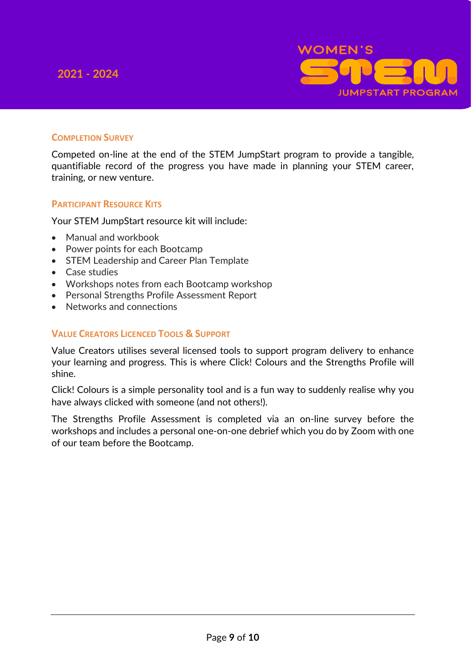

### **COMPLETION SURVEY**

Competed on-line at the end of the STEM JumpStart program to provide a tangible, quantifiable record of the progress you have made in planning your STEM career, training, or new venture.

#### **PARTICIPANT RESOURCE KITS**

Your STEM JumpStart resource kit will include:

- Manual and workbook
- Power points for each Bootcamp
- STEM Leadership and Career Plan Template
- Case studies
- Workshops notes from each Bootcamp workshop
- Personal Strengths Profile Assessment Report
- Networks and connections

#### **VALUE CREATORS LICENCED TOOLS & SUPPORT**

Value Creators utilises several licensed tools to support program delivery to enhance your learning and progress. This is where Click! Colours and the Strengths Profile will shine.

Click! Colours is a simple personality tool and is a fun way to suddenly realise why you have always clicked with someone (and not others!).

The Strengths Profile Assessment is completed via an on-line survey before the workshops and includes a personal one-on-one debrief which you do by Zoom with one of our team before the Bootcamp.